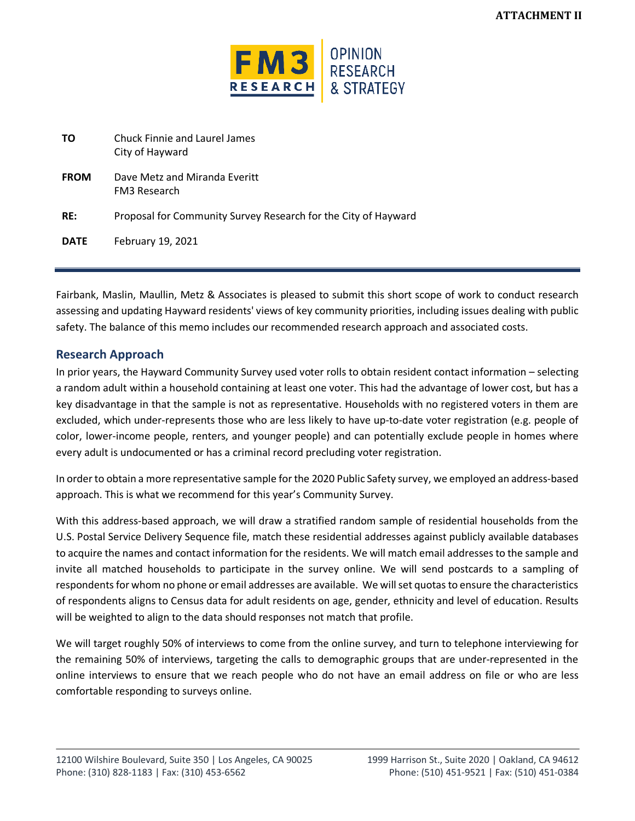

| ΤO          | Chuck Finnie and Laurel James<br>City of Hayward               |
|-------------|----------------------------------------------------------------|
| <b>FROM</b> | Dave Metz and Miranda Everitt<br><b>FM3 Research</b>           |
| RE:         | Proposal for Community Survey Research for the City of Hayward |
| <b>DATE</b> | <b>February 19, 2021</b>                                       |

Fairbank, Maslin, Maullin, Metz & Associates is pleased to submit this short scope of work to conduct research assessing and updating Hayward residents' views of key community priorities, including issues dealing with public safety. The balance of this memo includes our recommended research approach and associated costs.

## **Research Approach**

In prior years, the Hayward Community Survey used voter rolls to obtain resident contact information – selecting a random adult within a household containing at least one voter. This had the advantage of lower cost, but has a key disadvantage in that the sample is not as representative. Households with no registered voters in them are excluded, which under-represents those who are less likely to have up-to-date voter registration (e.g. people of color, lower-income people, renters, and younger people) and can potentially exclude people in homes where every adult is undocumented or has a criminal record precluding voter registration.

In order to obtain a more representative sample for the 2020 Public Safety survey, we employed an address-based approach. This is what we recommend for this year's Community Survey.

With this address-based approach, we will draw a stratified random sample of residential households from the U.S. Postal Service Delivery Sequence file, match these residential addresses against publicly available databases to acquire the names and contact information for the residents. We will match email addresses to the sample and invite all matched households to participate in the survey online. We will send postcards to a sampling of respondents for whom no phone or email addresses are available. We will set quotas to ensure the characteristics of respondents aligns to Census data for adult residents on age, gender, ethnicity and level of education. Results will be weighted to align to the data should responses not match that profile.

We will target roughly 50% of interviews to come from the online survey, and turn to telephone interviewing for the remaining 50% of interviews, targeting the calls to demographic groups that are under-represented in the online interviews to ensure that we reach people who do not have an email address on file or who are less comfortable responding to surveys online.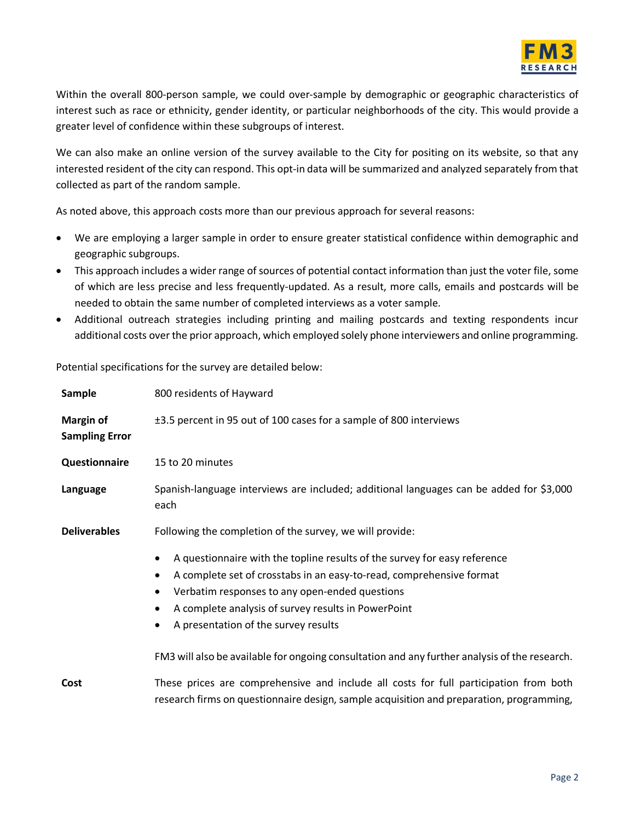

Within the overall 800-person sample, we could over-sample by demographic or geographic characteristics of interest such as race or ethnicity, gender identity, or particular neighborhoods of the city. This would provide a greater level of confidence within these subgroups of interest.

We can also make an online version of the survey available to the City for positing on its website, so that any interested resident of the city can respond. This opt-in data will be summarized and analyzed separately from that collected as part of the random sample.

As noted above, this approach costs more than our previous approach for several reasons:

- We are employing a larger sample in order to ensure greater statistical confidence within demographic and geographic subgroups.
- This approach includes a wider range of sources of potential contact information than just the voter file, some of which are less precise and less frequently-updated. As a result, more calls, emails and postcards will be needed to obtain the same number of completed interviews as a voter sample.
- Additional outreach strategies including printing and mailing postcards and texting respondents incur additional costs over the prior approach, which employed solely phone interviewers and online programming.

Potential specifications for the survey are detailed below:

| <b>Sample</b>                             | 800 residents of Hayward                                                                                                                                                                                                                                                                                                                                                                            |  |  |
|-------------------------------------------|-----------------------------------------------------------------------------------------------------------------------------------------------------------------------------------------------------------------------------------------------------------------------------------------------------------------------------------------------------------------------------------------------------|--|--|
| <b>Margin of</b><br><b>Sampling Error</b> | ±3.5 percent in 95 out of 100 cases for a sample of 800 interviews                                                                                                                                                                                                                                                                                                                                  |  |  |
| Questionnaire                             | 15 to 20 minutes                                                                                                                                                                                                                                                                                                                                                                                    |  |  |
| Language                                  | Spanish-language interviews are included; additional languages can be added for \$3,000<br>each                                                                                                                                                                                                                                                                                                     |  |  |
| <b>Deliverables</b>                       | Following the completion of the survey, we will provide:                                                                                                                                                                                                                                                                                                                                            |  |  |
|                                           | A questionnaire with the topline results of the survey for easy reference<br>A complete set of crosstabs in an easy-to-read, comprehensive format<br>Verbatim responses to any open-ended questions<br>A complete analysis of survey results in PowerPoint<br>A presentation of the survey results<br>FM3 will also be available for ongoing consultation and any further analysis of the research. |  |  |
|                                           |                                                                                                                                                                                                                                                                                                                                                                                                     |  |  |
| Cost                                      | These prices are comprehensive and include all costs for full participation from both<br>research firms on questionnaire design, sample acquisition and preparation, programming,                                                                                                                                                                                                                   |  |  |